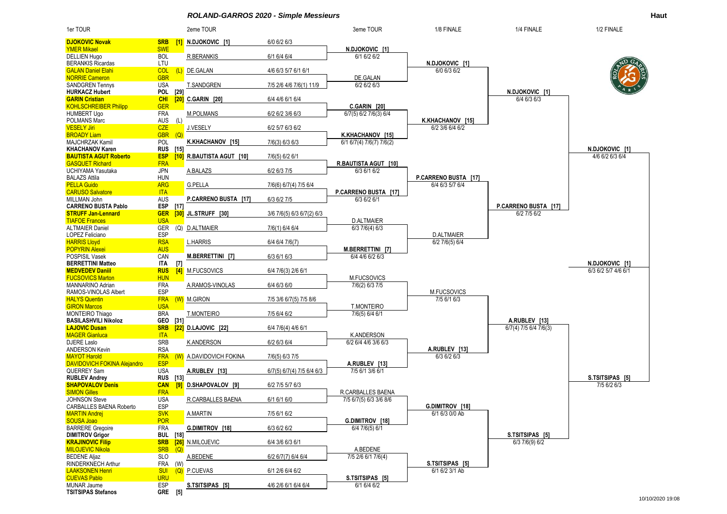*ROLAND-GARROS 2020 - Simple Messieurs* **Haut**